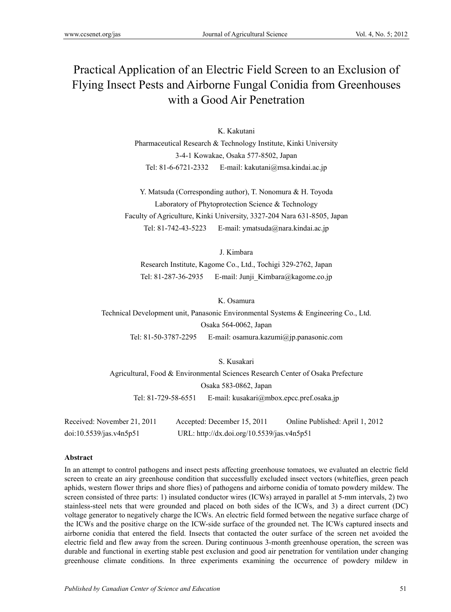# Practical Application of an Electric Field Screen to an Exclusion of Flying Insect Pests and Airborne Fungal Conidia from Greenhouses with a Good Air Penetration

K. Kakutani

Pharmaceutical Research & Technology Institute, Kinki University 3-4-1 Kowakae, Osaka 577-8502, Japan Tel: 81-6-6721-2332 E-mail: kakutani@msa.kindai.ac.jp

Y. Matsuda (Corresponding author), T. Nonomura & H. Toyoda Laboratory of Phytoprotection Science & Technology Faculty of Agriculture, Kinki University, 3327-204 Nara 631-8505, Japan Tel: 81-742-43-5223 E-mail: ymatsuda@nara.kindai.ac.jp

J. Kimbara

Research Institute, Kagome Co., Ltd., Tochigi 329-2762, Japan Tel: 81-287-36-2935 E-mail: Junji Kimbara@kagome.co.jp

K. Osamura

Technical Development unit, Panasonic Environmental Systems & Engineering Co., Ltd. Osaka 564-0062, Japan Tel: 81-50-3787-2295 E-mail: osamura.kazumi@jp.panasonic.com

S. Kusakari Agricultural, Food & Environmental Sciences Research Center of Osaka Prefecture Osaka 583-0862, Japan Tel: 81-729-58-6551 E-mail: kusakari@mbox.epcc.pref.osaka.jp

| Received: November 21, 2011 | Accepted: December 15, 2011                | Online Published: April 1, 2012 |
|-----------------------------|--------------------------------------------|---------------------------------|
| doi:10.5539/jas.v4n5p51     | URL: http://dx.doi.org/10.5539/jas.v4n5p51 |                                 |

## **Abstract**

In an attempt to control pathogens and insect pests affecting greenhouse tomatoes, we evaluated an electric field screen to create an airy greenhouse condition that successfully excluded insect vectors (whiteflies, green peach aphids, western flower thrips and shore flies) of pathogens and airborne conidia of tomato powdery mildew. The screen consisted of three parts: 1) insulated conductor wires (ICWs) arrayed in parallel at 5-mm intervals, 2) two stainless-steel nets that were grounded and placed on both sides of the ICWs, and 3) a direct current (DC) voltage generator to negatively charge the ICWs. An electric field formed between the negative surface charge of the ICWs and the positive charge on the ICW-side surface of the grounded net. The ICWs captured insects and airborne conidia that entered the field. Insects that contacted the outer surface of the screen net avoided the electric field and flew away from the screen. During continuous 3-month greenhouse operation, the screen was durable and functional in exerting stable pest exclusion and good air penetration for ventilation under changing greenhouse climate conditions. In three experiments examining the occurrence of powdery mildew in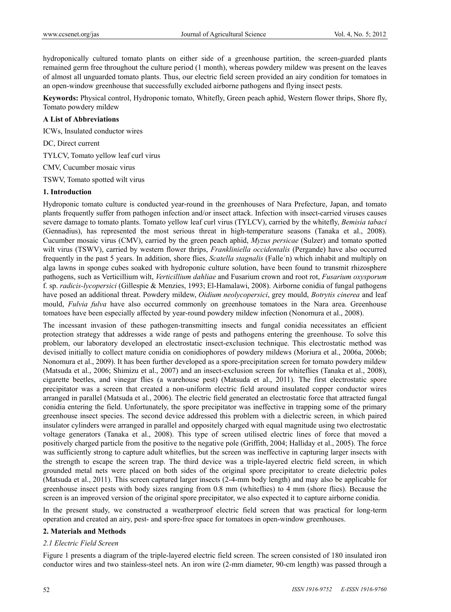hydroponically cultured tomato plants on either side of a greenhouse partition, the screen-guarded plants remained germ free throughout the culture period (1 month), whereas powdery mildew was present on the leaves of almost all unguarded tomato plants. Thus, our electric field screen provided an airy condition for tomatoes in an open-window greenhouse that successfully excluded airborne pathogens and flying insect pests.

**Keywords:** Physical control, Hydroponic tomato, Whitefly, Green peach aphid, Western flower thrips, Shore fly, Tomato powdery mildew

## **A List of Abbreviations**

ICWs, Insulated conductor wires

DC, Direct current

TYLCV, Tomato yellow leaf curl virus

CMV, Cucumber mosaic virus

TSWV, Tomato spotted wilt virus

## **1. Introduction**

Hydroponic tomato culture is conducted year-round in the greenhouses of Nara Prefecture, Japan, and tomato plants frequently suffer from pathogen infection and/or insect attack. Infection with insect-carried viruses causes severe damage to tomato plants. Tomato yellow leaf curl virus (TYLCV), carried by the whitefly, *Bemisia tabaci*  (Gennadius), has represented the most serious threat in high-temperature seasons (Tanaka et al., 2008). Cucumber mosaic virus (CMV), carried by the green peach aphid, *Myzus persicae* (Sulzer) and tomato spotted wilt virus (TSWV), carried by western flower thrips, *Frankliniella occidentalis* (Pergande) have also occurred frequently in the past 5 years. In addition, shore flies, *Scatella stagnalis* (Falle´n) which inhabit and multiply on alga lawns in sponge cubes soaked with hydroponic culture solution, have been found to transmit rhizosphere pathogens, such as Verticillium wilt, *Verticillium dahliae* and Fusarium crown and root rot, *Fusarium oxysporum* f. sp. *radicis-lycopersici* (Gillespie & Menzies, 1993; El-Hamalawi, 2008). Airborne conidia of fungal pathogens have posed an additional threat. Powdery mildew, *Oidium neolycopersici*, grey mould, *Botrytis cinerea* and leaf mould, *Fulvia fulva* have also occurred commonly on greenhouse tomatoes in the Nara area. Greenhouse tomatoes have been especially affected by year-round powdery mildew infection (Nonomura et al., 2008).

The incessant invasion of these pathogen-transmitting insects and fungal conidia necessitates an efficient protection strategy that addresses a wide range of pests and pathogens entering the greenhouse. To solve this problem, our laboratory developed an electrostatic insect-exclusion technique. This electrostatic method was devised initially to collect mature conidia on conidiophores of powdery mildews (Moriura et al., 2006a, 2006b; Nonomura et al., 2009). It has been further developed as a spore-precipitation screen for tomato powdery mildew (Matsuda et al., 2006; Shimizu et al., 2007) and an insect-exclusion screen for whiteflies (Tanaka et al., 2008), cigarette beetles, and vinegar flies (a warehouse pest) (Matsuda et al., 2011). The first electrostatic spore precipitator was a screen that created a non-uniform electric field around insulated copper conductor wires arranged in parallel (Matsuda et al., 2006). The electric field generated an electrostatic force that attracted fungal conidia entering the field. Unfortunately, the spore precipitator was ineffective in trapping some of the primary greenhouse insect species. The second device addressed this problem with a dielectric screen, in which paired insulator cylinders were arranged in parallel and oppositely charged with equal magnitude using two electrostatic voltage generators (Tanaka et al., 2008). This type of screen utilised electric lines of force that moved a positively charged particle from the positive to the negative pole (Griffith, 2004; Halliday et al., 2005). The force was sufficiently strong to capture adult whiteflies, but the screen was ineffective in capturing larger insects with the strength to escape the screen trap. The third device was a triple-layered electric field screen, in which grounded metal nets were placed on both sides of the original spore precipitator to create dielectric poles (Matsuda et al., 2011). This screen captured larger insects (2-4-mm body length) and may also be applicable for greenhouse insect pests with body sizes ranging from 0.8 mm (whiteflies) to 4 mm (shore flies). Because the screen is an improved version of the original spore precipitator, we also expected it to capture airborne conidia.

In the present study, we constructed a weatherproof electric field screen that was practical for long-term operation and created an airy, pest- and spore-free space for tomatoes in open-window greenhouses.

#### **2. Materials and Methods**

#### *2.1 Electric Field Screen*

Figure 1 presents a diagram of the triple-layered electric field screen. The screen consisted of 180 insulated iron conductor wires and two stainless-steel nets. An iron wire (2-mm diameter, 90-cm length) was passed through a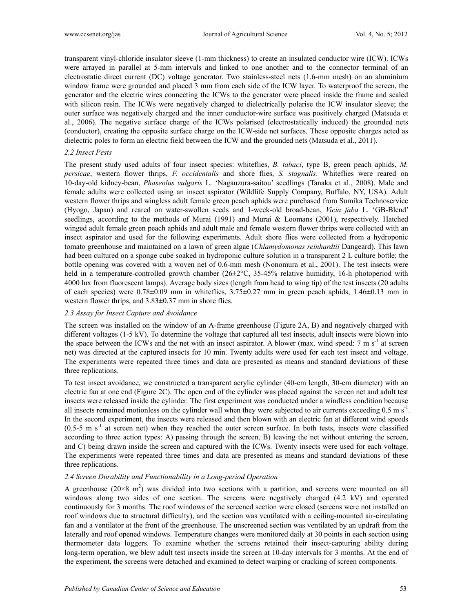transparent vinyl-chloride insulator sleeve (1-mm thickness) to create an insulated conductor wire (ICW). ICWs were arrayed in parallel at 5-mm intervals and linked to one another and to the connector terminal of an electrostatic direct current (DC) voltage generator. Two stainless-steel nets (1.6-mm mesh) on an aluminium window frame were grounded and placed 3 mm from each side of the ICW layer. To waterproof the screen, the generator and the electric wires connecting the ICWs to the generator were placed inside the frame and sealed with silicon resin. The ICWs were negatively charged to dielectrically polarise the ICW insulator sleeve; the outer surface was negatively charged and the inner conductor-wire surface was positively charged (Matsuda et al., 2006). The negative surface charge of the ICWs polarised (electrostatically induced) the grounded nets (conductor), creating the opposite surface charge on the ICW-side net surfaces. These opposite charges acted as dielectric poles to form an electric field between the ICW and the grounded nets (Matsuda et al., 2011).

#### *2.2 Insect Pests*

The present study used adults of four insect species: whiteflies, *B. tabaci*, type B, green peach aphids, *M. persicae*, western flower thrips, *F. occidentalis* and shore flies, *S. stagnalis*. Whiteflies were reared on 10-day-old kidney-bean, *Phaseolus vulgaris* L. 'Nagauzura-saitou' seedlings (Tanaka et al., 2008). Male and female adults were collected using an insect aspirator (Wildlife Supply Company, Buffalo, NY, USA). Adult western flower thrips and wingless adult female green peach aphids were purchased from Sumika Technoservice (Hyogo, Japan) and reared on water-swollen seeds and 1-week-old broad-bean, *Vicia faba* L. 'GB-Blend' seedlings, according to the methods of Murai (1991) and Murai & Loomans (2001), respectively. Hatched winged adult female green peach aphids and adult male and female western flower thrips were collected with an insect aspirator and used for the following experiments. Adult shore flies were collected from a hydroponic tomato greenhouse and maintained on a lawn of green algae (*Chlamydomonas reinhardtii* Dangeard). This lawn had been cultured on a sponge cube soaked in hydroponic culture solution in a transparent 2 L culture bottle; the bottle opening was covered with a woven net of 0.6-mm mesh (Nonomura et al., 2001). The test insects were held in a temperature-controlled growth chamber (26±2°C, 35-45% relative humidity, 16-h photoperiod with 4000 lux from fluorescent lamps). Average body sizes (length from head to wing tip) of the test insects (20 adults of each species) were  $0.78\pm0.09$  mm in whiteflies,  $3.75\pm0.27$  mm in green peach aphids,  $1.46\pm0.13$  mm in western flower thrips, and  $3.83\pm0.37$  mm in shore flies.

#### *2.3 Assay for Insect Capture and Avoidance*

The screen was installed on the window of an A-frame greenhouse (Figure 2A, B) and negatively charged with different voltages (1-5 kV). To determine the voltage that captured all test insects, adult insects were blown into the space between the ICWs and the net with an insect aspirator. A blower (max. wind speed:  $7 \text{ m s}^{-1}$  at screen net) was directed at the captured insects for 10 min. Twenty adults were used for each test insect and voltage. The experiments were repeated three times and data are presented as means and standard deviations of these three replications.

To test insect avoidance, we constructed a transparent acrylic cylinder (40-cm length, 30-cm diameter) with an electric fan at one end (Figure 2C). The open end of the cylinder was placed against the screen net and adult test insects were released inside the cylinder. The first experiment was conducted under a windless condition because all insects remained motionless on the cylinder wall when they were subjected to air currents exceeding  $0.5 \text{ m s}^{-1}$ . In the second experiment, the insects were released and then blown with an electric fan at different wind speeds  $(0.5-5 \text{ m s}^{-1})$  at screen net) when they reached the outer screen surface. In both tests, insects were classified according to three action types: A) passing through the screen, B) leaving the net without entering the screen, and C) being drawn inside the screen and captured with the ICWs. Twenty insects were used for each voltage. The experiments were repeated three times and data are presented as means and standard deviations of these three replications.

#### *2.4 Screen Durability and Functionability in a Long-period Operation*

A greenhouse  $(20 \times 8 \text{ m}^2)$  was divided into two sections with a partition, and screens were mounted on all windows along two sides of one section. The screens were negatively charged (4.2 kV) and operated continuously for 3 months. The roof windows of the screened section were closed (screens were not installed on roof windows due to structural difficulty), and the section was ventilated with a ceiling-mounted air-circulating fan and a ventilator at the front of the greenhouse. The unscreened section was ventilated by an updraft from the laterally and roof opened windows. Temperature changes were monitored daily at 30 points in each section using thermometer data loggers. To examine whether the screens retained their insect-capturing ability during long-term operation, we blew adult test insects inside the screen at 10-day intervals for 3 months. At the end of the experiment, the screens were detached and examined to detect warping or cracking of screen components.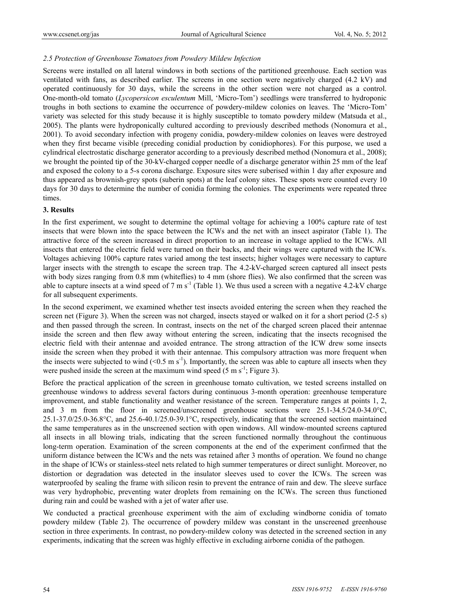# *2.5 Protection of Greenhouse Tomatoes from Powdery Mildew Infection*

Screens were installed on all lateral windows in both sections of the partitioned greenhouse. Each section was ventilated with fans, as described earlier. The screens in one section were negatively charged (4.2 kV) and operated continuously for 30 days, while the screens in the other section were not charged as a control. One-month-old tomato (*Lycopersicon esculentum* Mill, 'Micro-Tom') seedlings were transferred to hydroponic troughs in both sections to examine the occurrence of powdery-mildew colonies on leaves. The 'Micro-Tom' variety was selected for this study because it is highly susceptible to tomato powdery mildew (Matsuda et al., 2005). The plants were hydroponically cultured according to previously described methods (Nonomura et al., 2001). To avoid secondary infection with progeny conidia, powdery-mildew colonies on leaves were destroyed when they first became visible (preceding conidial production by conidiophores). For this purpose, we used a cylindrical electrostatic discharge generator according to a previously described method (Nonomura et al., 2008); we brought the pointed tip of the 30-kV-charged copper needle of a discharge generator within 25 mm of the leaf and exposed the colony to a 5-s corona discharge. Exposure sites were suberised within 1 day after exposure and thus appeared as brownish-grey spots (suberin spots) at the leaf colony sites. These spots were counted every 10 days for 30 days to determine the number of conidia forming the colonies. The experiments were repeated three times.

# **3. Results**

In the first experiment, we sought to determine the optimal voltage for achieving a 100% capture rate of test insects that were blown into the space between the ICWs and the net with an insect aspirator (Table 1). The attractive force of the screen increased in direct proportion to an increase in voltage applied to the ICWs. All insects that entered the electric field were turned on their backs, and their wings were captured with the ICWs. Voltages achieving 100% capture rates varied among the test insects; higher voltages were necessary to capture larger insects with the strength to escape the screen trap. The 4.2-kV-charged screen captured all insect pests with body sizes ranging from 0.8 mm (whiteflies) to 4 mm (shore flies). We also confirmed that the screen was able to capture insects at a wind speed of 7 m  $s^{-1}$  (Table 1). We thus used a screen with a negative 4.2-kV charge for all subsequent experiments.

In the second experiment, we examined whether test insects avoided entering the screen when they reached the screen net (Figure 3). When the screen was not charged, insects stayed or walked on it for a short period (2-5 s) and then passed through the screen. In contrast, insects on the net of the charged screen placed their antennae inside the screen and then flew away without entering the screen, indicating that the insects recognised the electric field with their antennae and avoided entrance. The strong attraction of the ICW drew some insects inside the screen when they probed it with their antennae. This compulsory attraction was more frequent when the insects were subjected to wind  $(< 0.5 \text{ m s}^{-1})$ . Importantly, the screen was able to capture all insects when they were pushed inside the screen at the maximum wind speed (5 m  $s^{-1}$ ; Figure 3).

Before the practical application of the screen in greenhouse tomato cultivation, we tested screens installed on greenhouse windows to address several factors during continuous 3-month operation: greenhouse temperature improvement, and stable functionality and weather resistance of the screen. Temperature ranges at points 1, 2, and 3 m from the floor in screened/unscreened greenhouse sections were 25.1-34.5/24.0-34.0°C, 25.1-37.0/25.0-36.8°C, and 25.6-40.1/25.0-39.1°C, respectively, indicating that the screened section maintained the same temperatures as in the unscreened section with open windows. All window-mounted screens captured all insects in all blowing trials, indicating that the screen functioned normally throughout the continuous long-term operation. Examination of the screen components at the end of the experiment confirmed that the uniform distance between the ICWs and the nets was retained after 3 months of operation. We found no change in the shape of ICWs or stainless-steel nets related to high summer temperatures or direct sunlight. Moreover, no distortion or degradation was detected in the insulator sleeves used to cover the ICWs. The screen was waterproofed by sealing the frame with silicon resin to prevent the entrance of rain and dew. The sleeve surface was very hydrophobic, preventing water droplets from remaining on the ICWs. The screen thus functioned during rain and could be washed with a jet of water after use.

We conducted a practical greenhouse experiment with the aim of excluding windborne conidia of tomato powdery mildew (Table 2). The occurrence of powdery mildew was constant in the unscreened greenhouse section in three experiments. In contrast, no powdery-mildew colony was detected in the screened section in any experiments, indicating that the screen was highly effective in excluding airborne conidia of the pathogen.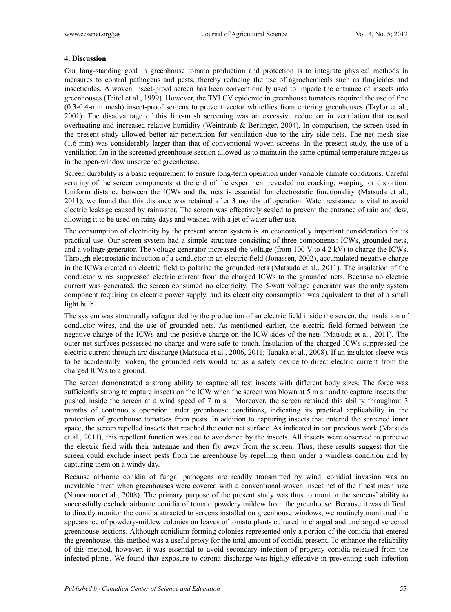## **4. Discussion**

Our long-standing goal in greenhouse tomato production and protection is to integrate physical methods in measures to control pathogens and pests, thereby reducing the use of agrochemicals such as fungicides and insecticides. A woven insect-proof screen has been conventionally used to impede the entrance of insects into greenhouses (Teitel et al., 1999). However, the TYLCV epidemic in greenhouse tomatoes required the use of fine (0.3-0.4-mm mesh) insect-proof screens to prevent vector whiteflies from entering greenhouses (Taylor et al., 2001). The disadvantage of this fine-mesh screening was an excessive reduction in ventilation that caused overheating and increased relative humidity (Weintraub & Berlinger, 2004). In comparison, the screen used in the present study allowed better air penetration for ventilation due to the airy side nets. The net mesh size (1.6-mm) was considerably larger than that of conventional woven screens. In the present study, the use of a ventilation fan in the screened greenhouse section allowed us to maintain the same optimal temperature ranges as in the open-window unscreened greenhouse.

Screen durability is a basic requirement to ensure long-term operation under variable climate conditions. Careful scrutiny of the screen components at the end of the experiment revealed no cracking, warping, or distortion. Uniform distance between the ICWs and the nets is essential for electrostatic functionality (Matsuda et al., 2011); we found that this distance was retained after 3 months of operation. Water resistance is vital to avoid electric leakage caused by rainwater. The screen was effectively sealed to prevent the entrance of rain and dew, allowing it to be used on rainy days and washed with a jet of water after use.

The consumption of electricity by the present screen system is an economically important consideration for its practical use. Our screen system had a simple structure consisting of three components: ICWs, grounded nets, and a voltage generator. The voltage generator increased the voltage (from 100 V to 4.2 kV) to charge the ICWs. Through electrostatic induction of a conductor in an electric field (Jonassen, 2002), accumulated negative charge in the ICWs created an electric field to polarise the grounded nets (Matsuda et al., 2011). The insulation of the conductor wires suppressed electric current from the charged ICWs to the grounded nets. Because no electric current was generated, the screen consumed no electricity. The 5-watt voltage generator was the only system component requiring an electric power supply, and its electricity consumption was equivalent to that of a small light bulb.

The system was structurally safeguarded by the production of an electric field inside the screen, the insulation of conductor wires, and the use of grounded nets. As mentioned earlier, the electric field formed between the negative charge of the ICWs and the positive charge on the ICW-sides of the nets (Matsuda et al., 2011). The outer net surfaces possessed no charge and were safe to touch. Insulation of the charged ICWs suppressed the electric current through arc discharge (Matsuda et al., 2006, 2011; Tanaka et al., 2008). If an insulator sleeve was to be accidentally broken, the grounded nets would act as a safety device to direct electric current from the charged ICWs to a ground.

The screen demonstrated a strong ability to capture all test insects with different body sizes. The force was sufficiently strong to capture insects on the ICW when the screen was blown at 5 m  $s^{-1}$  and to capture insects that pushed inside the screen at a wind speed of 7 m s<sup>-1</sup>. Moreover, the screen retained this ability throughout 3 months of continuous operation under greenhouse conditions, indicating its practical applicability in the protection of greenhouse tomatoes from pests. In addition to capturing insects that entered the screened inner space, the screen repelled insects that reached the outer net surface. As indicated in our previous work (Matsuda et al., 2011), this repellent function was due to avoidance by the insects. All insects were observed to perceive the electric field with their antennae and then fly away from the screen. Thus, these results suggest that the screen could exclude insect pests from the greenhouse by repelling them under a windless condition and by capturing them on a windy day.

Because airborne conidia of fungal pathogens are readily transmitted by wind, conidial invasion was an inevitable threat when greenhouses were covered with a conventional woven insect net of the finest mesh size (Nonomura et al., 2008). The primary purpose of the present study was thus to monitor the screens' ability to successfully exclude airborne conidia of tomato powdery mildew from the greenhouse. Because it was difficult to directly monitor the conidia attracted to screens installed on greenhouse windows, we routinely monitored the appearance of powdery-mildew colonies on leaves of tomato plants cultured in charged and uncharged screened greenhouse sections. Although conidium-forming colonies represented only a portion of the conidia that entered the greenhouse, this method was a useful proxy for the total amount of conidia present. To enhance the reliability of this method, however, it was essential to avoid secondary infection of progeny conidia released from the infected plants. We found that exposure to corona discharge was highly effective in preventing such infection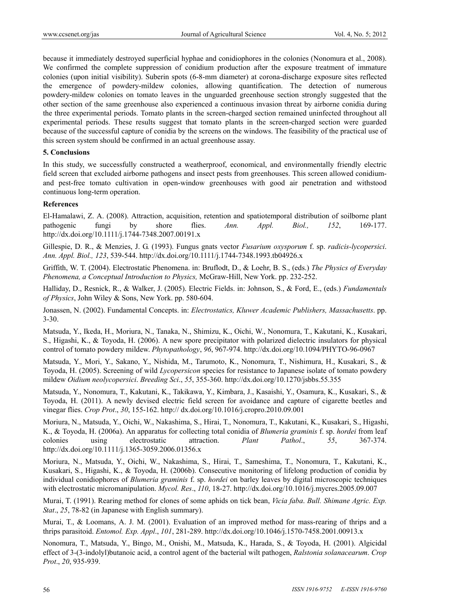because it immediately destroyed superficial hyphae and conidiophores in the colonies (Nonomura et al., 2008). We confirmed the complete suppression of conidium production after the exposure treatment of immature colonies (upon initial visibility). Suberin spots (6-8-mm diameter) at corona-discharge exposure sites reflected the emergence of powdery-mildew colonies, allowing quantification. The detection of numerous powdery-mildew colonies on tomato leaves in the unguarded greenhouse section strongly suggested that the other section of the same greenhouse also experienced a continuous invasion threat by airborne conidia during the three experimental periods. Tomato plants in the screen-charged section remained uninfected throughout all experimental periods. These results suggest that tomato plants in the screen-charged section were guarded because of the successful capture of conidia by the screens on the windows. The feasibility of the practical use of this screen system should be confirmed in an actual greenhouse assay.

#### **5. Conclusions**

In this study, we successfully constructed a weatherproof, economical, and environmentally friendly electric field screen that excluded airborne pathogens and insect pests from greenhouses. This screen allowed conidiumand pest-free tomato cultivation in open-window greenhouses with good air penetration and withstood continuous long-term operation.

# **References**

El-Hamalawi, Z. A. (2008). Attraction, acquisition, retention and spatiotemporal distribution of soilborne plant pathogenic fungi by shore flies. *Ann. Appl. Biol., 152*, 169-177. http://dx.doi.org/10.1111/j.1744-7348.2007.00191.x

Gillespie, D. R., & Menzies, J. G. (1993). Fungus gnats vector *Fusarium oxysporum* f. sp. *radicis-lycopersici*. *Ann. Appl. Biol., 123*, 539-544. http://dx.doi.org/10.1111/j.1744-7348.1993.tb04926.x

Griffith, W. T. (2004). Electrostatic Phenomena. in: Bruflodt, D., & Loehr, B. S., (eds.) *The Physics of Everyday Phenomena, a Conceptual Introduction to Physics,* McGraw-Hill, New York. pp. 232-252.

Halliday, D., Resnick, R., & Walker, J. (2005). Electric Fields. in: Johnson, S., & Ford, E., (eds.) *Fundamentals of Physics*, John Wiley & Sons, New York. pp. 580-604.

Jonassen, N. (2002). Fundamental Concepts. in: *Electrostatics, Kluwer Academic Publishers, Massachusetts*. pp. 3-30.

Matsuda, Y., Ikeda, H., Moriura, N., Tanaka, N., Shimizu, K., Oichi, W., Nonomura, T., Kakutani, K., Kusakari, S., Higashi, K., & Toyoda, H. (2006). A new spore precipitator with polarized dielectric insulators for physical control of tomato powdery mildew. *Phytopathology*, *96*, 967-974. http://dx.doi.org/10.1094/PHYTO-96-0967

Matsuda, Y., Mori, Y., Sakano, Y., Nishida, M., Tarumoto, K., Nonomura, T., Nishimura, H., Kusakari, S., & Toyoda, H. (2005). Screening of wild *Lycopersicon* species for resistance to Japanese isolate of tomato powdery mildew *Oidium neolycopersici*. *Breeding Sci*., *55*, 355-360. http://dx.doi.org/10.1270/jsbbs.55.355

Matsuda, Y., Nonomura, T., Kakutani, K., Takikawa, Y., Kimbara, J., Kasaishi, Y., Osamura, K., Kusakari, S., & Toyoda, H. (2011). A newly devised electric field screen for avoidance and capture of cigarette beetles and vinegar flies. *Crop Prot*., *30*, 155-162. http:// dx.doi.org/10.1016/j.cropro.2010.09.001

Moriura, N., Matsuda, Y., Oichi, W., Nakashima, S., Hirai, T., Nonomura, T., Kakutani, K., Kusakari, S., Higashi, K., & Toyoda, H. (2006a). An apparatus for collecting total conidia of *Blumeria graminis* f. sp. *hordei* from leaf colonies using electrostatic attraction. *Plant Pathol*., *55*, 367-374. http://dx.doi.org/10.1111/j.1365-3059.2006.01356.x

Moriura, N., Matsuda, Y., Oichi, W., Nakashima, S., Hirai, T., Sameshima, T., Nonomura, T., Kakutani, K., Kusakari, S., Higashi, K., & Toyoda, H. (2006b). Consecutive monitoring of lifelong production of conidia by individual conidiophores of *Blumeria graminis* f. sp. *hordei* on barley leaves by digital microscopic techniques with electrostatic micromanipulation. *Mycol. Res*., *110*, 18-27. http://dx.doi.org/10.1016/j.mycres.2005.09.007

Murai, T. (1991). Rearing method for clones of some aphids on tick bean, *Vicia faba*. *Bull. Shimane Agric. Exp. Stat*., *25*, 78-82 (in Japanese with English summary).

Murai, T., & Loomans, A. J. M. (2001). Evaluation of an improved method for mass-rearing of thrips and a thrips parasitoid. *Entomol. Exp. Appl*., *101*, 281-289. http://dx.doi.org/10.1046/j.1570-7458.2001.00913.x

Nonomura, T., Matsuda, Y., Bingo, M., Onishi, M., Matsuda, K., Harada, S., & Toyoda, H. (2001). Algicidal effect of 3-(3-indolyl)butanoic acid, a control agent of the bacterial wilt pathogen, *Ralstonia solanacearum*. *Crop Prot*., *20*, 935-939.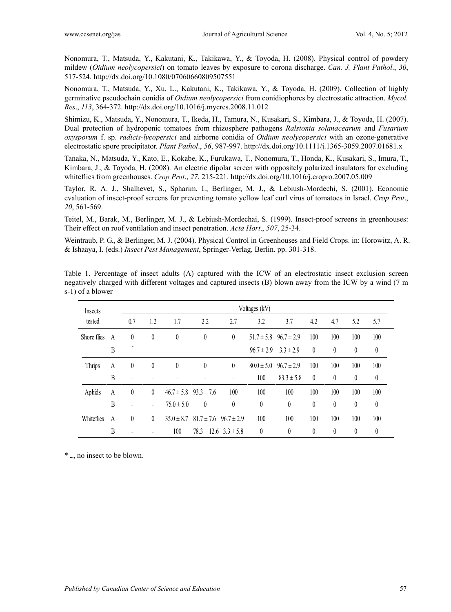Nonomura, T., Matsuda, Y., Kakutani, K., Takikawa, Y., & Toyoda, H. (2008). Physical control of powdery mildew (*Oidium neolycopersici*) on tomato leaves by exposure to corona discharge. *Can. J. Plant Pathol*., *30*, 517-524. http://dx.doi.org/10.1080/07060660809507551

Nonomura, T., Matsuda, Y., Xu, L., Kakutani, K., Takikawa, Y., & Toyoda, H. (2009). Collection of highly germinative pseudochain conidia of *Oidium neolycopersici* from conidiophores by electrostatic attraction. *Mycol. Res*., *113*, 364-372. http://dx.doi.org/10.1016/j.mycres.2008.11.012

Shimizu, K., Matsuda, Y., Nonomura, T., Ikeda, H., Tamura, N., Kusakari, S., Kimbara, J., & Toyoda, H. (2007). Dual protection of hydroponic tomatoes from rhizosphere pathogens *Ralstonia solanacearum* and *Fusarium oxysporum* f. sp. *radicis-lycopersici* and airborne conidia of *Oidium neolycopersici* with an ozone-generative electrostatic spore precipitator. *Plant Pathol*., *56*, 987-997. http://dx.doi.org/10.1111/j.1365-3059.2007.01681.x

Tanaka, N., Matsuda, Y., Kato, E., Kokabe, K., Furukawa, T., Nonomura, T., Honda, K., Kusakari, S., Imura, T., Kimbara, J., & Toyoda, H. (2008). An electric dipolar screen with oppositely polarized insulators for excluding whiteflies from greenhouses. *Crop Prot*., *27*, 215-221. http://dx.doi.org/10.1016/j.cropro.2007.05.009

Taylor, R. A. J., Shalhevet, S., Spharim, I., Berlinger, M. J., & Lebiush-Mordechi, S. (2001). Economic evaluation of insect-proof screens for preventing tomato yellow leaf curl virus of tomatoes in Israel. *Crop Prot*., *20*, 561-569.

Teitel, M., Barak, M., Berlinger, M. J., & Lebiush-Mordechai, S. (1999). Insect-proof screens in greenhouses: Their effect on roof ventilation and insect penetration. *Acta Hort*., *507*, 25-34.

Weintraub, P. G., & Berlinger, M. J. (2004). Physical Control in Greenhouses and Field Crops. in: Horowitz, A. R. & Ishaaya, I. (eds.) *Insect Pest Management*, Springer-Verlag, Berlin. pp. 301-318.

Table 1. Percentage of insect adults (A) captured with the ICW of an electrostatic insect exclusion screen negatively charged with different voltages and captured insects (B) blown away from the ICW by a wind (7 m s-1) of a blower

| Insects     |                | Voltages (kV) |                  |                |                               |          |                |                |          |          |                  |                  |
|-------------|----------------|---------------|------------------|----------------|-------------------------------|----------|----------------|----------------|----------|----------|------------------|------------------|
| tested      |                | 0.7           | 1.2              | 1.7            | 2.2                           | 2.7      | 3.2            | 3.7            | 4.2      | 4.7      | 5.2              | 5.7              |
| Shore flies | A              | $\theta$      | $\boldsymbol{0}$ | $\theta$       | $\boldsymbol{0}$              | $\theta$ | $51.7 \pm 5.8$ | $96.7 \pm 2.9$ | 100      | 100      | 100              | 100              |
|             | B              |               |                  |                |                               |          | $96.7 \pm 2.9$ | $3.3 \pm 2.9$  | $\theta$ | $\theta$ | $\boldsymbol{0}$ | $\theta$         |
| Thrips      | A              | $\theta$      | $\theta$         | $\theta$       | $\theta$                      | $\theta$ | $80.0 \pm 5.0$ | $96.7 \pm 2.9$ | 100      | 100      | 100              | 100              |
|             | B              |               |                  |                |                               |          | 100            | $83.3 \pm 5.8$ | $\theta$ | $\theta$ | $\theta$         | $\theta$         |
| Aphids      | A              | $\theta$      | $\theta$         | $46.7 \pm 5.8$ | $93.3 \pm 7.6$                | 100      | 100            | 100            | 100      | 100      | 100              | 100              |
|             | B              |               |                  | $75.0 \pm 5.0$ | $\theta$                      | $\theta$ | $\theta$       | $\theta$       | $\theta$ | $\theta$ | $\theta$         | $\boldsymbol{0}$ |
| Whiteflies  | $\overline{A}$ | $\theta$      | $\theta$         | $35.0 \pm 8.7$ | $81.7 \pm 7.6$ $96.7 \pm 2.9$ |          | 100            | 100            | 100      | 100      | 100              | 100              |
|             | B              |               |                  | 100            | $78.3 \pm 12.6$ $3.3 \pm 5.8$ |          | $\theta$       | $\theta$       | $\theta$ | $\theta$ | $\theta$         | $\theta$         |

\* ₋, no insect to be blown.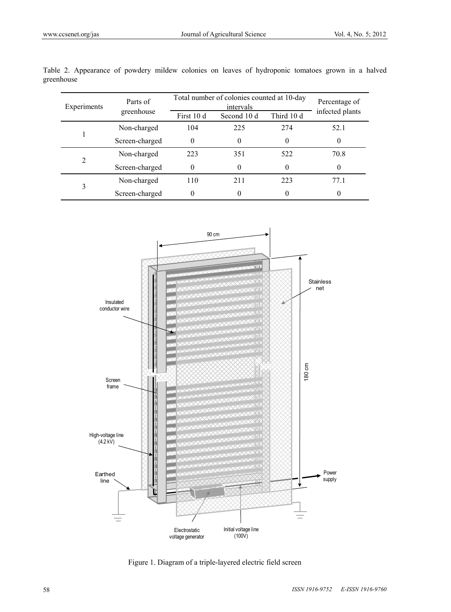| Experiments | Parts of       | Total number of colonies counted at 10-day | Percentage of |            |                 |
|-------------|----------------|--------------------------------------------|---------------|------------|-----------------|
|             | greenhouse     | First 10 d                                 | Second 10 d   | Third 10 d | infected plants |
|             | Non-charged    | 104                                        | 225           | 274        | 52.1            |
|             | Screen-charged | 0                                          |               | $\theta$   | 0               |
| 2           | Non-charged    | 223                                        | 351           | 522        | 70.8            |
|             | Screen-charged | $\theta$                                   | 0             | $\theta$   | $\Omega$        |
| 3           | Non-charged    | 110                                        | 211           | 223        | 77.1            |
|             | Screen-charged | 0                                          |               | 0          | 0               |

Table 2. Appearance of powdery mildew colonies on leaves of hydroponic tomatoes grown in a halved greenhouse



Figure 1. Diagram of a triple-layered electric field screen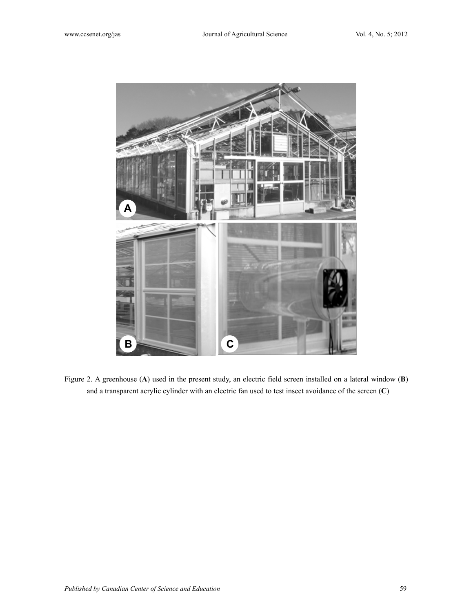

Figure 2. A greenhouse (**A**) used in the present study, an electric field screen installed on a lateral window (**B**) and a transparent acrylic cylinder with an electric fan used to test insect avoidance of the screen (**C**)